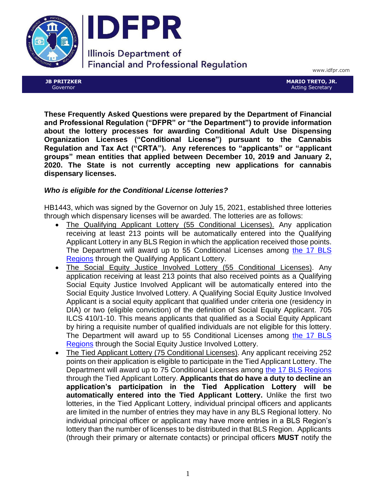



**Illinois Department of Financial and Professional Regulation** 

www.idfpr.com

**JB PRITZKER** Governor

**MARIO TRETO, JR.** Acting Secretary

**These Frequently Asked Questions were prepared by the Department of Financial and Professional Regulation ("DFPR" or "the Department") to provide information about the lottery processes for awarding Conditional Adult Use Dispensing Organization Licenses ("Conditional License") pursuant to the Cannabis Regulation and Tax Act ("CRTA"). Any references to "applicants" or "applicant groups" mean entities that applied between December 10, 2019 and January 2, 2020. The State is not currently accepting new applications for cannabis dispensary licenses.**

# *Who is eligible for the Conditional License lotteries?*

HB1443, which was signed by the Governor on July 15, 2021, established three lotteries through which dispensary licenses will be awarded. The lotteries are as follows:

- The Qualifying Applicant Lottery (55 Conditional Licenses). Any application receiving at least 213 points will be automatically entered into the Qualifying Applicant Lottery in any BLS Region in which the application received those points. The Department will award up to 55 Conditional Licenses among [the 17 BLS](https://www.idfpr.com/Forms/AUC/Cannabis%20Dispensary%20QA%20Lottery%20BLS%20Regions%2055%20Licenses%20Map.pdf)  [Regions](https://www.idfpr.com/Forms/AUC/Cannabis%20Dispensary%20QA%20Lottery%20BLS%20Regions%2055%20Licenses%20Map.pdf) through the Qualifying Applicant Lottery.
- The Social Equity Justice Involved Lottery (55 Conditional Licenses). Any application receiving at least 213 points that also received points as a Qualifying Social Equity Justice Involved Applicant will be automatically entered into the Social Equity Justice Involved Lottery. A Qualifying Social Equity Justice Involved Applicant is a social equity applicant that qualified under criteria one (residency in DIA) or two (eligible conviction) of the definition of Social Equity Applicant. 705 ILCS 410/1-10. This means applicants that qualified as a Social Equity Applicant by hiring a requisite number of qualified individuals are not eligible for this lottery. The Department will award up to 55 Conditional Licenses among [the 17 BLS](https://www.idfpr.com/Forms/AUC/Cannabis%20Dispensary%20SJ%20Lottery%20BLS%20Regions%2055%20Licenses%20Map.pdf)  **[Regions](https://www.idfpr.com/Forms/AUC/Cannabis%20Dispensary%20SJ%20Lottery%20BLS%20Regions%2055%20Licenses%20Map.pdf) through the Social Equity Justice Involved Lottery.**
- The Tied Applicant Lottery (75 Conditional Licenses). Any applicant receiving 252 points on their application is eligible to participate in the Tied Applicant Lottery. The Department will award up to 75 Conditional Licenses among [the 17 BLS Regions](https://www.idfpr.com/Forms/AUC/Cannabis%20Dispensary%20TA%20Lottery%20BLS%20Regions%20License%20Map.pdf) through the Tied Applicant Lottery. **Applicants that do have a duty to decline an application's participation in the Tied Application Lottery will be automatically entered into the Tied Applicant Lottery.** Unlike the first two lotteries, in the Tied Applicant Lottery, individual principal officers and applicants are limited in the number of entries they may have in any BLS Regional lottery. No individual principal officer or applicant may have more entries in a BLS Region's lottery than the number of licenses to be distributed in that BLS Region. Applicants (through their primary or alternate contacts) or principal officers **MUST** notify the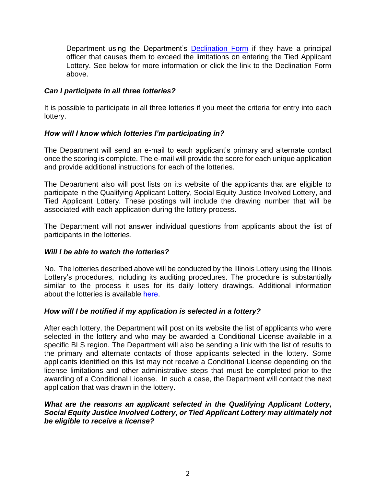Department using the Department's [Declination Form](https://www.idfpr.com/Forms/AUC/F2406.pdf) if they have a principal officer that causes them to exceed the limitations on entering the Tied Applicant Lottery. See below for more information or click the link to the Declination Form above.

## *Can I participate in all three lotteries?*

It is possible to participate in all three lotteries if you meet the criteria for entry into each lottery.

# *How will I know which lotteries I'm participating in?*

The Department will send an e-mail to each applicant's primary and alternate contact once the scoring is complete. The e-mail will provide the score for each unique application and provide additional instructions for each of the lotteries.

The Department also will post lists on its website of the applicants that are eligible to participate in the Qualifying Applicant Lottery, Social Equity Justice Involved Lottery, and Tied Applicant Lottery. These postings will include the drawing number that will be associated with each application during the lottery process.

The Department will not answer individual questions from applicants about the list of participants in the lotteries.

#### *Will I be able to watch the lotteries?*

No. The lotteries described above will be conducted by the Illinois Lottery using the Illinois Lottery's procedures, including its auditing procedures. The procedure is substantially similar to the process it uses for its daily lottery drawings. Additional information about the lotteries is available [here](https://www.idfpr.com/Forms/AUC/DISPENSARY%20LICENSES%20LOTTERY%20DRAWING%20PROCESS.pdf).

#### *How will I be notified if my application is selected in a lottery?*

After each lottery, the Department will post on its website the list of applicants who were selected in the lottery and who may be awarded a Conditional License available in a specific BLS region. The Department will also be sending a link with the list of results to the primary and alternate contacts of those applicants selected in the lottery. Some applicants identified on this list may not receive a Conditional License depending on the license limitations and other administrative steps that must be completed prior to the awarding of a Conditional License. In such a case, the Department will contact the next application that was drawn in the lottery.

#### *What are the reasons an applicant selected in the Qualifying Applicant Lottery, Social Equity Justice Involved Lottery, or Tied Applicant Lottery may ultimately not be eligible to receive a license?*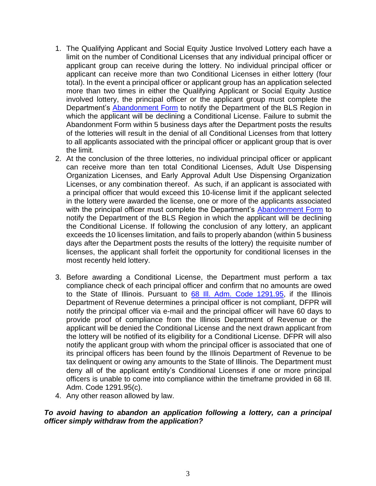- 1. The Qualifying Applicant and Social Equity Justice Involved Lottery each have a limit on the number of Conditional Licenses that any individual principal officer or applicant group can receive during the lottery. No individual principal officer or applicant can receive more than two Conditional Licenses in either lottery (four total). In the event a principal officer or applicant group has an application selected more than two times in either the Qualifying Applicant or Social Equity Justice involved lottery, the principal officer or the applicant group must complete the Department's [Abandonment Form](https://www.idfpr.com/Forms/AUC/Abandonment%20Form.pdf) to notify the Department of the BLS Region in which the applicant will be declining a Conditional License. Failure to submit the Abandonment Form within 5 business days after the Department posts the results of the lotteries will result in the denial of all Conditional Licenses from that lottery to all applicants associated with the principal officer or applicant group that is over the limit.
- 2. At the conclusion of the three lotteries, no individual principal officer or applicant can receive more than ten total Conditional Licenses, Adult Use Dispensing Organization Licenses, and Early Approval Adult Use Dispensing Organization Licenses, or any combination thereof. As such, if an applicant is associated with a principal officer that would exceed this 10-license limit if the applicant selected in the lottery were awarded the license, one or more of the applicants associated with the principal officer must complete the Department's [Abandonment Form](https://www.idfpr.com/Forms/AUC/Abandonment%20Form.pdf) to notify the Department of the BLS Region in which the applicant will be declining the Conditional License. If following the conclusion of any lottery, an applicant exceeds the 10 licenses limitation, and fails to properly abandon (within 5 business days after the Department posts the results of the lottery) the requisite number of licenses, the applicant shall forfeit the opportunity for conditional licenses in the most recently held lottery.
- 3. Before awarding a Conditional License, the Department must perform a tax compliance check of each principal officer and confirm that no amounts are owed to the State of Illinois. Pursuant to [68 Ill. Adm. Code 1291.95,](https://www.idfpr.com/Forms/AUC/2021%2007%2015%20Emergency%20Rules%20for%20Responsible%20Vendors.pdf) if the Illinois Department of Revenue determines a principal officer is not compliant, DFPR will notify the principal officer via e-mail and the principal officer will have 60 days to provide proof of compliance from the Illinois Department of Revenue or the applicant will be denied the Conditional License and the next drawn applicant from the lottery will be notified of its eligibility for a Conditional License. DFPR will also notify the applicant group with whom the principal officer is associated that one of its principal officers has been found by the Illinois Department of Revenue to be tax delinquent or owing any amounts to the State of Illinois. The Department must deny all of the applicant entity's Conditional Licenses if one or more principal officers is unable to come into compliance within the timeframe provided in 68 Ill. Adm. Code 1291.95(c).
- 4. Any other reason allowed by law.

#### *To avoid having to abandon an application following a lottery, can a principal officer simply withdraw from the application?*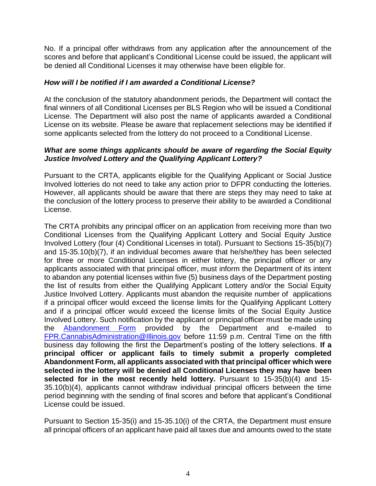No. If a principal offer withdraws from any application after the announcement of the scores and before that applicant's Conditional License could be issued, the applicant will be denied all Conditional Licenses it may otherwise have been eligible for.

## *How will I be notified if I am awarded a Conditional License?*

At the conclusion of the statutory abandonment periods, the Department will contact the final winners of all Conditional Licenses per BLS Region who will be issued a Conditional License. The Department will also post the name of applicants awarded a Conditional License on its website. Please be aware that replacement selections may be identified if some applicants selected from the lottery do not proceed to a Conditional License.

## *What are some things applicants should be aware of regarding the Social Equity Justice Involved Lottery and the Qualifying Applicant Lottery?*

Pursuant to the CRTA, applicants eligible for the Qualifying Applicant or Social Justice Involved lotteries do not need to take any action prior to DFPR conducting the lotteries. However, all applicants should be aware that there are steps they may need to take at the conclusion of the lottery process to preserve their ability to be awarded a Conditional License.

The CRTA prohibits any principal officer on an application from receiving more than two Conditional Licenses from the Qualifying Applicant Lottery and Social Equity Justice Involved Lottery (four (4) Conditional Licenses in total). Pursuant to Sections 15-35(b)(7) and 15-35.10(b)(7), if an individual becomes aware that he/she/they has been selected for three or more Conditional Licenses in either lottery, the principal officer or any applicants associated with that principal officer, must inform the Department of its intent to abandon any potential licenses within five (5) business days of the Department posting the list of results from either the Qualifying Applicant Lottery and/or the Social Equity Justice Involved Lottery. Applicants must abandon the requisite number of applications if a principal officer would exceed the license limits for the Qualifying Applicant Lottery and if a principal officer would exceed the license limits of the Social Equity Justice Involved Lottery. Such notification by the applicant or principal officer must be made using the [Abandonment Form](https://www.idfpr.com/Forms/AUC/Abandonment%20Form.pdf) provided by the Department and e-mailed to [FPR.CannabisAdministration@Illinois.gov](mailto:FPR.CannabisAdministration@Illinois.gov) before 11:59 p.m. Central Time on the fifth business day following the first the Department's posting of the lottery selections. **If a principal officer or applicant fails to timely submit a properly completed Abandonment Form, all applicants associated with that principal officer which were selected in the lottery will be denied all Conditional Licenses they may have been selected for in the most recently held lottery.** Pursuant to 15-35(b)(4) and 15-35.10(b)(4), applicants cannot withdraw individual principal officers between the time period beginning with the sending of final scores and before that applicant's Conditional License could be issued.

Pursuant to Section 15-35(i) and 15-35.10(i) of the CRTA, the Department must ensure all principal officers of an applicant have paid all taxes due and amounts owed to the state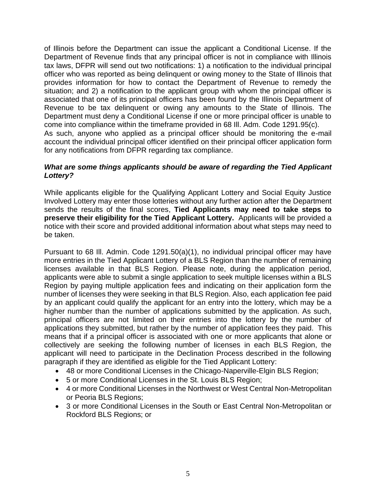of Illinois before the Department can issue the applicant a Conditional License. If the Department of Revenue finds that any principal officer is not in compliance with Illinois tax laws, DFPR will send out two notifications: 1) a notification to the individual principal officer who was reported as being delinquent or owing money to the State of Illinois that provides information for how to contact the Department of Revenue to remedy the situation; and 2) a notification to the applicant group with whom the principal officer is associated that one of its principal officers has been found by the Illinois Department of Revenue to be tax delinquent or owing any amounts to the State of Illinois. The Department must deny a Conditional License if one or more principal officer is unable to come into compliance within the timeframe provided in 68 Ill. Adm. Code 1291.95(c). As such, anyone who applied as a principal officer should be monitoring the e-mail account the individual principal officer identified on their principal officer application form for any notifications from DFPR regarding tax compliance.

## *What are some things applicants should be aware of regarding the Tied Applicant Lottery?*

While applicants eligible for the Qualifying Applicant Lottery and Social Equity Justice Involved Lottery may enter those lotteries without any further action after the Department sends the results of the final scores, **Tied Applicants may need to take steps to preserve their eligibility for the Tied Applicant Lottery.** Applicants will be provided a notice with their score and provided additional information about what steps may need to be taken.

Pursuant to 68 Ill. Admin. Code 1291.50(a)(1), no individual principal officer may have more entries in the Tied Applicant Lottery of a BLS Region than the number of remaining licenses available in that BLS Region. Please note, during the application period, applicants were able to submit a single application to seek multiple licenses within a BLS Region by paying multiple application fees and indicating on their application form the number of licenses they were seeking in that BLS Region. Also, each application fee paid by an applicant could qualify the applicant for an entry into the lottery, which may be a higher number than the number of applications submitted by the application. As such, principal officers are not limited on their entries into the lottery by the number of applications they submitted, but rather by the number of application fees they paid. This means that if a principal officer is associated with one or more applicants that alone or collectively are seeking the following number of licenses in each BLS Region, the applicant will need to participate in the Declination Process described in the following paragraph if they are identified as eligible for the Tied Applicant Lottery:

- 48 or more Conditional Licenses in the Chicago-Naperville-Elgin BLS Region;
- 5 or more Conditional Licenses in the St. Louis BLS Region;
- 4 or more Conditional Licenses in the Northwest or West Central Non-Metropolitan or Peoria BLS Regions;
- 3 or more Conditional Licenses in the South or East Central Non-Metropolitan or Rockford BLS Regions; or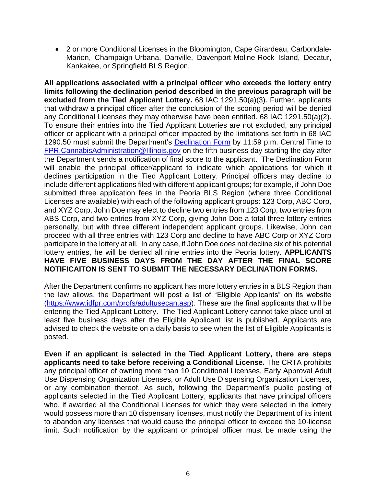• 2 or more Conditional Licenses in the Bloomington, Cape Girardeau, Carbondale-Marion, Champaign-Urbana, Danville, Davenport-Moline-Rock Island, Decatur, Kankakee, or Springfield BLS Region.

**All applications associated with a principal officer who exceeds the lottery entry limits following the declination period described in the previous paragraph will be excluded from the Tied Applicant Lottery.** 68 IAC 1291.50(a)(3). Further, applicants that withdraw a principal officer after the conclusion of the scoring period will be denied any Conditional Licenses they may otherwise have been entitled. 68 IAC 1291.50(a)(2). To ensure their entries into the Tied Applicant Lotteries are not excluded, any principal officer or applicant with a principal officer impacted by the limitations set forth in 68 IAC 1290.50 must submit the Department's [Declination](https://www.idfpr.com/Forms/AUC/F2406.pdf) Form by 11:59 p.m. Central Time to [FPR.CannabisAdministration@Illinois.gov](mailto:FPR.CannabisAdministration@Illinois.gov) on the fifth business day starting the day after the Department sends a notification of final score to the applicant. The Declination Form will enable the principal officer/applicant to indicate which applications for which it declines participation in the Tied Applicant Lottery. Principal officers may decline to include different applications filed with different applicant groups; for example, if John Doe submitted three application fees in the Peoria BLS Region (where three Conditional Licenses are available) with each of the following applicant groups: 123 Corp, ABC Corp, and XYZ Corp, John Doe may elect to decline two entries from 123 Corp, two entries from ABS Corp, and two entries from XYZ Corp, giving John Doe a total three lottery entries personally, but with three different independent applicant groups. Likewise, John can proceed with all three entries with 123 Corp and decline to have ABC Corp or XYZ Corp participate in the lottery at all. In any case, if John Doe does not decline six of his potential lottery entries, he will be denied all nine entries into the Peoria lottery. **APPLICANTS HAVE FIVE BUSINESS DAYS FROM THE DAY AFTER THE FINAL SCORE NOTIFICAITON IS SENT TO SUBMIT THE NECESSARY DECLINATION FORMS.** 

After the Department confirms no applicant has more lottery entries in a BLS Region than the law allows, the Department will post a list of "Eligible Applicants" on its website [\(https://www.idfpr.com/profs/adultusecan.asp\)](https://www.idfpr.com/profs/adultusecan.asp). These are the final applicants that will be entering the Tied Applicant Lottery. The Tied Applicant Lottery cannot take place until at least five business days after the Eligible Applicant list is published. Applicants are advised to check the website on a daily basis to see when the list of Eligible Applicants is posted.

**Even if an applicant is selected in the Tied Applicant Lottery, there are steps applicants need to take before receiving a Conditional License.** The CRTA prohibits any principal officer of owning more than 10 Conditional Licenses, Early Approval Adult Use Dispensing Organization Licenses, or Adult Use Dispensing Organization Licenses, or any combination thereof. As such, following the Department's public posting of applicants selected in the Tied Applicant Lottery, applicants that have principal officers who, if awarded all the Conditional Licenses for which they were selected in the lottery would possess more than 10 dispensary licenses, must notify the Department of its intent to abandon any licenses that would cause the principal officer to exceed the 10-license limit. Such notification by the applicant or principal officer must be made using the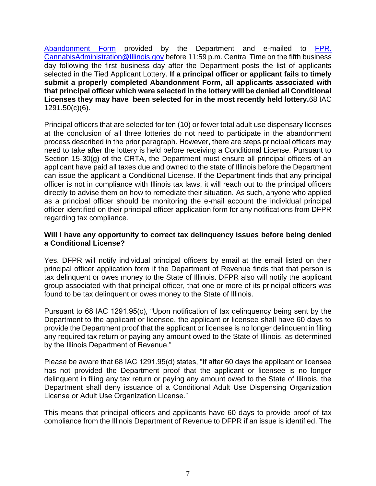[Abandonment Form](https://www.idfpr.com/Forms/AUC/Abandonment%20Form.pdf) provided by the Department and e-mailed to [FPR.](mailto:FPR.%20CannabisAdministration@Illinois.gov) [CannabisAdministration@Illinois.gov](mailto:FPR.%20CannabisAdministration@Illinois.gov) before 11:59 p.m. Central Time on the fifth business day following the first business day after the Department posts the list of applicants selected in the Tied Applicant Lottery. **If a principal officer or applicant fails to timely submit a properly completed Abandonment Form, all applicants associated with that principal officer which were selected in the lottery will be denied all Conditional Licenses they may have been selected for in the most recently held lottery.**68 IAC 1291.50(c)(6).

Principal officers that are selected for ten (10) or fewer total adult use dispensary licenses at the conclusion of all three lotteries do not need to participate in the abandonment process described in the prior paragraph. However, there are steps principal officers may need to take after the lottery is held before receiving a Conditional License. Pursuant to Section 15-30(g) of the CRTA, the Department must ensure all principal officers of an applicant have paid all taxes due and owned to the state of Illinois before the Department can issue the applicant a Conditional License. If the Department finds that any principal officer is not in compliance with Illinois tax laws, it will reach out to the principal officers directly to advise them on how to remediate their situation. As such, anyone who applied as a principal officer should be monitoring the e-mail account the individual principal officer identified on their principal officer application form for any notifications from DFPR regarding tax compliance.

#### **Will I have any opportunity to correct tax delinquency issues before being denied a Conditional License?**

Yes. DFPR will notify individual principal officers by email at the email listed on their principal officer application form if the Department of Revenue finds that that person is tax delinquent or owes money to the State of Illinois. DFPR also will notify the applicant group associated with that principal officer, that one or more of its principal officers was found to be tax delinquent or owes money to the State of Illinois.

Pursuant to 68 IAC 1291.95(c), "Upon notification of tax delinquency being sent by the Department to the applicant or licensee, the applicant or licensee shall have 60 days to provide the Department proof that the applicant or licensee is no longer delinquent in filing any required tax return or paying any amount owed to the State of Illinois, as determined by the Illinois Department of Revenue."

Please be aware that 68 IAC 1291.95(d) states, "If after 60 days the applicant or licensee has not provided the Department proof that the applicant or licensee is no longer delinquent in filing any tax return or paying any amount owed to the State of Illinois, the Department shall deny issuance of a Conditional Adult Use Dispensing Organization License or Adult Use Organization License."

This means that principal officers and applicants have 60 days to provide proof of tax compliance from the Illinois Department of Revenue to DFPR if an issue is identified. The